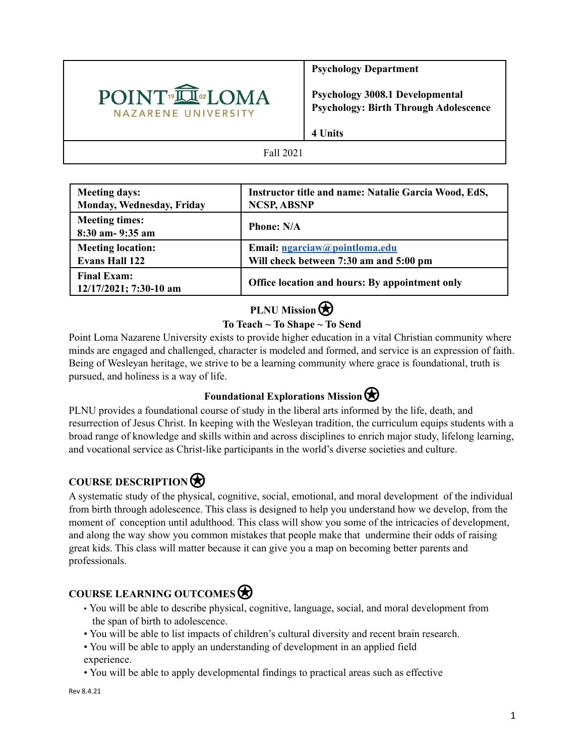

**Psychology Department**

**Psychology 3008.1 Developmental Psychology: Birth Through Adolescence**

**4 Units**

Fall 2021

| <b>Meeting days:</b>                         | Instructor title and name: Natalie Garcia Wood, EdS, |
|----------------------------------------------|------------------------------------------------------|
| Monday, Wednesday, Friday                    | <b>NCSP, ABSNP</b>                                   |
| <b>Meeting times:</b><br>$8:30$ am-9:35 am   | <b>Phone: N/A</b>                                    |
| <b>Meeting location:</b>                     | Email: ngarciaw@pointloma.edu                        |
| <b>Evans Hall 122</b>                        | Will check between 7:30 am and 5:00 pm               |
| <b>Final Exam:</b><br>12/17/2021; 7:30-10 am | Office location and hours: By appointment only       |

# **PLNU** Mission

# **To Teach ~ To Shape ~ To Send**

Point Loma Nazarene University exists to provide higher education in a vital Christian community where minds are engaged and challenged, character is modeled and formed, and service is an expression of faith. Being of Wesleyan heritage, we strive to be a learning community where grace is foundational, truth is pursued, and holiness is a way of life.

# **Foundational Explorations Mission**

PLNU provides a foundational course of study in the liberal arts informed by the life, death, and resurrection of Jesus Christ. In keeping with the Wesleyan tradition, the curriculum equips students with a broad range of knowledge and skills within and across disciplines to enrich major study, lifelong learning, and vocational service as Christ-like participants in the world's diverse societies and culture.

# **COURSE DESCRIPTION**⍟

A systematic study of the physical, cognitive, social, emotional, and moral development of the individual from birth through adolescence. This class is designed to help you understand how we develop, from the moment of conception until adulthood. This class will show you some of the intricacies of development, and along the way show you common mistakes that people make that undermine their odds of raising great kids. This class will matter because it can give you a map on becoming better parents and professionals.

# **COURSE LEARNING OUTCOMES**⍟

- You will be able to describe physical, cognitive, language, social, and moral development from the span of birth to adolescence.
- You will be able to list impacts of children's cultural diversity and recent brain research.
- You will be able to apply an understanding of development in an applied field experience.
- You will be able to apply developmental findings to practical areas such as effective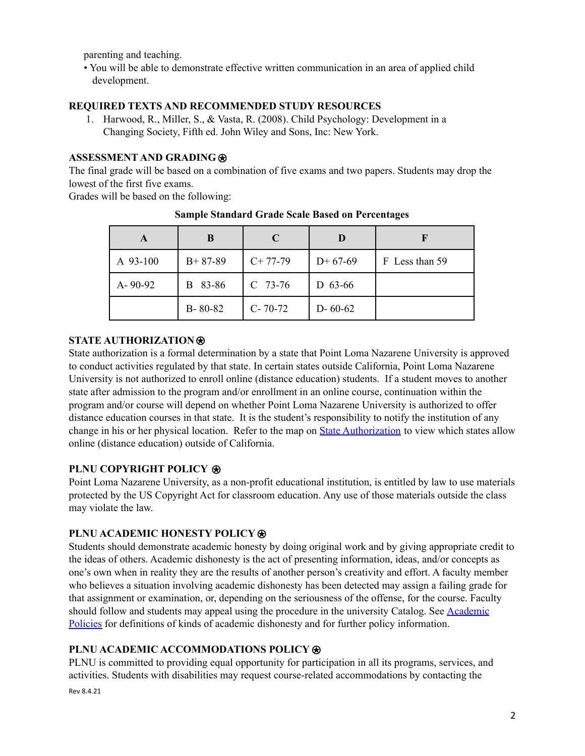parenting and teaching.

• You will be able to demonstrate effective written communication in an area of applied child development.

#### **REQUIRED TEXTS AND RECOMMENDED STUDY RESOURCES**

1. Harwood, R., Miller, S., & Vasta, R. (2008). Child Psychology: Development in a Changing Society, Fifth ed. John Wiley and Sons, Inc: New York.

## **ASSESSMENT AND GRADING**⍟

The final grade will be based on a combination of five exams and two papers. Students may drop the lowest of the first five exams.

Grades will be based on the following:

| A             | B             | C             |               |                |
|---------------|---------------|---------------|---------------|----------------|
| A 93-100      | $B+87-89$     | $C+77-79$     | $D+67-69$     | F Less than 59 |
| $A - 90 - 92$ | 83-86<br>B.   | $C$ 73-76     | D $63-66$     |                |
|               | $B - 80 - 82$ | $C - 70 - 72$ | $D - 60 - 62$ |                |

#### **Sample Standard Grade Scale Based on Percentages**

#### **STATE AUTHORIZATION**⍟

State authorization is a formal determination by a state that Point Loma Nazarene University is approved to conduct activities regulated by that state. In certain states outside California, Point Loma Nazarene University is not authorized to enroll online (distance education) students. If a student moves to another state after admission to the program and/or enrollment in an online course, continuation within the program and/or course will depend on whether Point Loma Nazarene University is authorized to offer distance education courses in that state. It is the student's responsibility to notify the institution of any change in his or her physical location. Refer to the map on State [Authorization](https://www.pointloma.edu/offices/office-institutional-effectiveness-research/disclosures) to view which states allow online (distance education) outside of California.

## **PLNU COPYRIGHT POLICY** ⍟

Point Loma Nazarene University, as a non-profit educational institution, is entitled by law to use materials protected by the US Copyright Act for classroom education. Any use of those materials outside the class may violate the law.

## **PLNU ACADEMIC HONESTY POLICY**⍟

Students should demonstrate academic honesty by doing original work and by giving appropriate credit to the ideas of others. Academic dishonesty is the act of presenting information, ideas, and/or concepts as one's own when in reality they are the results of another person's creativity and effort. A faculty member who believes a situation involving academic dishonesty has been detected may assign a failing grade for that assignment or examination, or, depending on the seriousness of the offense, for the course. Faculty should follow and students may appeal using the procedure in the university Catalog. See [Academic](https://catalog.pointloma.edu/content.php?catoid=52&navoid=2919#Academic_Honesty) [Policies](https://catalog.pointloma.edu/content.php?catoid=52&navoid=2919#Academic_Honesty) for definitions of kinds of academic dishonesty and for further policy information.

#### **PLNU ACADEMIC ACCOMMODATIONS POLICY**⍟

PLNU is committed to providing equal opportunity for participation in all its programs, services, and activities. Students with disabilities may request course-related accommodations by contacting the Rev 8.4.21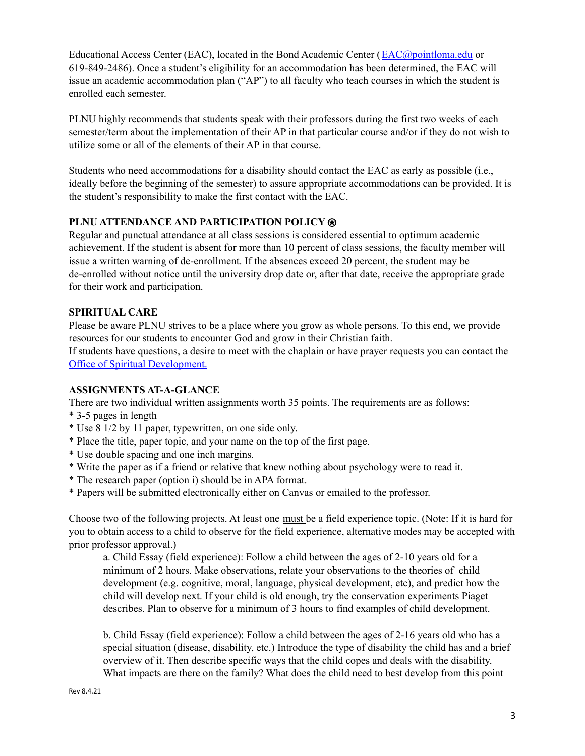Educational Access Center (EAC), located in the Bond Academic Center ([EAC@pointloma.edu](mailto:EAC@pointloma.edu) or 619-849-2486). Once a student's eligibility for an accommodation has been determined, the EAC will issue an academic accommodation plan ("AP") to all faculty who teach courses in which the student is enrolled each semester.

PLNU highly recommends that students speak with their professors during the first two weeks of each semester/term about the implementation of their AP in that particular course and/or if they do not wish to utilize some or all of the elements of their AP in that course.

Students who need accommodations for a disability should contact the EAC as early as possible (i.e., ideally before the beginning of the semester) to assure appropriate accommodations can be provided. It is the student's responsibility to make the first contact with the EAC.

## **PLNU ATTENDANCE AND PARTICIPATION POLICY**⍟

Regular and punctual attendance at all class sessions is considered essential to optimum academic achievement. If the student is absent for more than 10 percent of class sessions, the faculty member will issue a written warning of de-enrollment. If the absences exceed 20 percent, the student may be de-enrolled without notice until the university drop date or, after that date, receive the appropriate grade for their work and participation.

#### **SPIRITUAL CARE**

Please be aware PLNU strives to be a place where you grow as whole persons. To this end, we provide resources for our students to encounter God and grow in their Christian faith.

If students have questions, a desire to meet with the chaplain or have prayer requests you can contact the Office of Spiritual Development.

#### **ASSIGNMENTS AT-A-GLANCE**

There are two individual written assignments worth 35 points. The requirements are as follows:

- \* 3-5 pages in length
- \* Use 8 1/2 by 11 paper, typewritten, on one side only.
- \* Place the title, paper topic, and your name on the top of the first page.
- \* Use double spacing and one inch margins.
- \* Write the paper as if a friend or relative that knew nothing about psychology were to read it.
- \* The research paper (option i) should be in APA format.
- \* Papers will be submitted electronically either on Canvas or emailed to the professor.

Choose two of the following projects. At least one must be a field experience topic. (Note: If it is hard for you to obtain access to a child to observe for the field experience, alternative modes may be accepted with prior professor approval.)

a. Child Essay (field experience): Follow a child between the ages of 2-10 years old for a minimum of 2 hours. Make observations, relate your observations to the theories of child development (e.g. cognitive, moral, language, physical development, etc), and predict how the child will develop next. If your child is old enough, try the conservation experiments Piaget describes. Plan to observe for a minimum of 3 hours to find examples of child development.

b. Child Essay (field experience): Follow a child between the ages of 2-16 years old who has a special situation (disease, disability, etc.) Introduce the type of disability the child has and a brief overview of it. Then describe specific ways that the child copes and deals with the disability. What impacts are there on the family? What does the child need to best develop from this point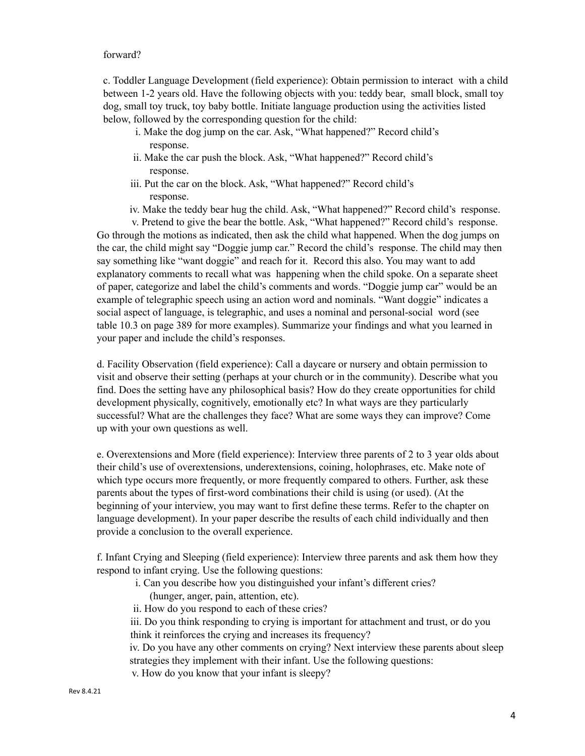#### forward?

c. Toddler Language Development (field experience): Obtain permission to interact with a child between 1-2 years old. Have the following objects with you: teddy bear, small block, small toy dog, small toy truck, toy baby bottle. Initiate language production using the activities listed below, followed by the corresponding question for the child:

- i. Make the dog jump on the car. Ask, "What happened?" Record child's response.
- ii. Make the car push the block. Ask, "What happened?" Record child's response.
- iii. Put the car on the block. Ask, "What happened?" Record child's response.
- iv. Make the teddy bear hug the child. Ask, "What happened?" Record child's response.

v. Pretend to give the bear the bottle. Ask, "What happened?" Record child's response. Go through the motions as indicated, then ask the child what happened. When the dog jumps on the car, the child might say "Doggie jump car." Record the child's response. The child may then say something like "want doggie" and reach for it. Record this also. You may want to add explanatory comments to recall what was happening when the child spoke. On a separate sheet of paper, categorize and label the child's comments and words. "Doggie jump car" would be an example of telegraphic speech using an action word and nominals. "Want doggie" indicates a social aspect of language, is telegraphic, and uses a nominal and personal-social word (see table 10.3 on page 389 for more examples). Summarize your findings and what you learned in your paper and include the child's responses.

d. Facility Observation (field experience): Call a daycare or nursery and obtain permission to visit and observe their setting (perhaps at your church or in the community). Describe what you find. Does the setting have any philosophical basis? How do they create opportunities for child development physically, cognitively, emotionally etc? In what ways are they particularly successful? What are the challenges they face? What are some ways they can improve? Come up with your own questions as well.

e. Overextensions and More (field experience): Interview three parents of 2 to 3 year olds about their child's use of overextensions, underextensions, coining, holophrases, etc. Make note of which type occurs more frequently, or more frequently compared to others. Further, ask these parents about the types of first-word combinations their child is using (or used). (At the beginning of your interview, you may want to first define these terms. Refer to the chapter on language development). In your paper describe the results of each child individually and then provide a conclusion to the overall experience.

f. Infant Crying and Sleeping (field experience): Interview three parents and ask them how they respond to infant crying. Use the following questions:

- i. Can you describe how you distinguished your infant's different cries?
	- (hunger, anger, pain, attention, etc).
- ii. How do you respond to each of these cries?

iii. Do you think responding to crying is important for attachment and trust, or do you think it reinforces the crying and increases its frequency?

iv. Do you have any other comments on crying? Next interview these parents about sleep strategies they implement with their infant. Use the following questions:

v. How do you know that your infant is sleepy?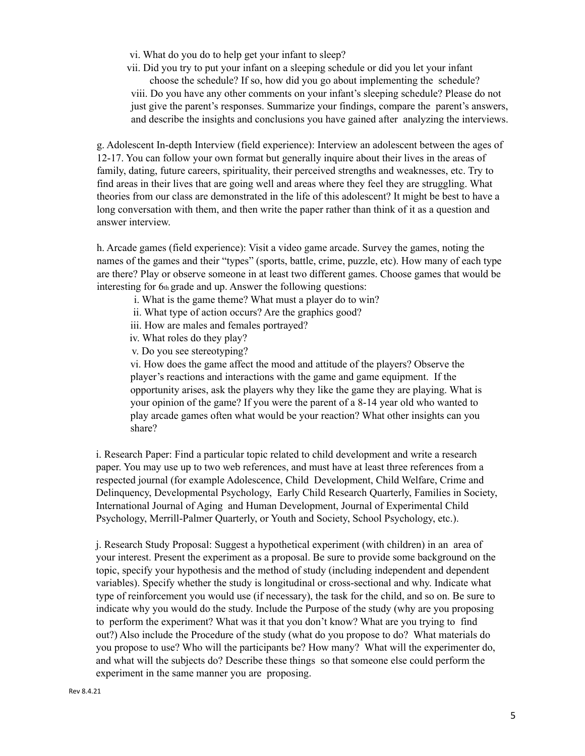- vi. What do you do to help get your infant to sleep?
- vii. Did you try to put your infant on a sleeping schedule or did you let your infant

choose the schedule? If so, how did you go about implementing the schedule? viii. Do you have any other comments on your infant's sleeping schedule? Please do not just give the parent's responses. Summarize your findings, compare the parent's answers, and describe the insights and conclusions you have gained after analyzing the interviews.

g. Adolescent In-depth Interview (field experience): Interview an adolescent between the ages of 12-17. You can follow your own format but generally inquire about their lives in the areas of family, dating, future careers, spirituality, their perceived strengths and weaknesses, etc. Try to find areas in their lives that are going well and areas where they feel they are struggling. What theories from our class are demonstrated in the life of this adolescent? It might be best to have a long conversation with them, and then write the paper rather than think of it as a question and answer interview.

h. Arcade games (field experience): Visit a video game arcade. Survey the games, noting the names of the games and their "types" (sports, battle, crime, puzzle, etc). How many of each type are there? Play or observe someone in at least two different games. Choose games that would be interesting for 6th grade and up. Answer the following questions:

- i. What is the game theme? What must a player do to win?
- ii. What type of action occurs? Are the graphics good?
- iii. How are males and females portrayed?
- iv. What roles do they play?
- v. Do you see stereotyping?

vi. How does the game affect the mood and attitude of the players? Observe the player's reactions and interactions with the game and game equipment. If the opportunity arises, ask the players why they like the game they are playing. What is your opinion of the game? If you were the parent of a 8-14 year old who wanted to play arcade games often what would be your reaction? What other insights can you share?

i. Research Paper: Find a particular topic related to child development and write a research paper. You may use up to two web references, and must have at least three references from a respected journal (for example Adolescence, Child Development, Child Welfare, Crime and Delinquency, Developmental Psychology, Early Child Research Quarterly, Families in Society, International Journal of Aging and Human Development, Journal of Experimental Child Psychology, Merrill-Palmer Quarterly, or Youth and Society, School Psychology, etc.).

j. Research Study Proposal: Suggest a hypothetical experiment (with children) in an area of your interest. Present the experiment as a proposal. Be sure to provide some background on the topic, specify your hypothesis and the method of study (including independent and dependent variables). Specify whether the study is longitudinal or cross-sectional and why. Indicate what type of reinforcement you would use (if necessary), the task for the child, and so on. Be sure to indicate why you would do the study. Include the Purpose of the study (why are you proposing to perform the experiment? What was it that you don't know? What are you trying to find out?) Also include the Procedure of the study (what do you propose to do? What materials do you propose to use? Who will the participants be? How many? What will the experimenter do, and what will the subjects do? Describe these things so that someone else could perform the experiment in the same manner you are proposing.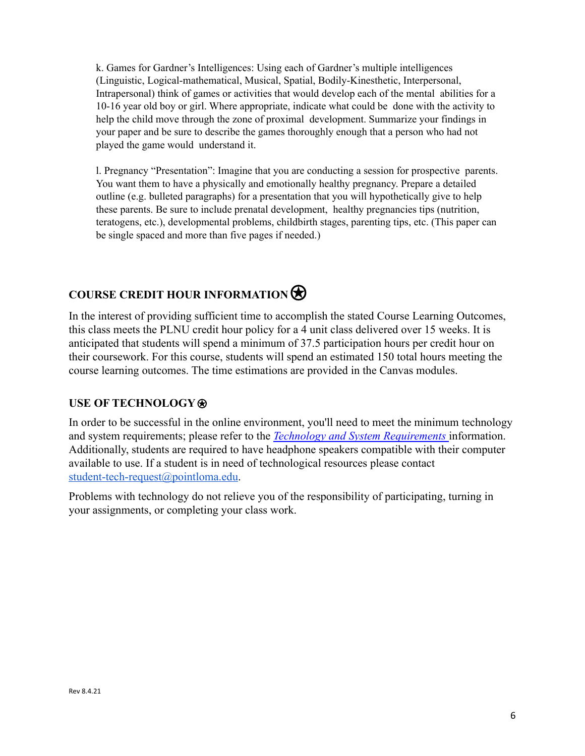k. Games for Gardner's Intelligences: Using each of Gardner's multiple intelligences (Linguistic, Logical-mathematical, Musical, Spatial, Bodily-Kinesthetic, Interpersonal, Intrapersonal) think of games or activities that would develop each of the mental abilities for a 10-16 year old boy or girl. Where appropriate, indicate what could be done with the activity to help the child move through the zone of proximal development. Summarize your findings in your paper and be sure to describe the games thoroughly enough that a person who had not played the game would understand it.

l. Pregnancy "Presentation": Imagine that you are conducting a session for prospective parents. You want them to have a physically and emotionally healthy pregnancy. Prepare a detailed outline (e.g. bulleted paragraphs) for a presentation that you will hypothetically give to help these parents. Be sure to include prenatal development, healthy pregnancies tips (nutrition, teratogens, etc.), developmental problems, childbirth stages, parenting tips, etc. (This paper can be single spaced and more than five pages if needed.)

# COURSE CREDIT HOUR INFORMATION<sup>®</sup>

In the interest of providing sufficient time to accomplish the stated Course Learning Outcomes, this class meets the PLNU credit hour policy for a 4 unit class delivered over 15 weeks. It is anticipated that students will spend a minimum of 37.5 participation hours per credit hour on their coursework. For this course, students will spend an estimated 150 total hours meeting the course learning outcomes. The time estimations are provided in the Canvas modules.

# **USE OF TECHNOLOGY**⍟

In order to be successful in the online environment, you'll need to meet the minimum technology and system requirements; please refer to the *Technology [and System Requirements](https://help.pointloma.edu/TDClient/1808/Portal/KB/ArticleDet?ID=108349)* information. Additionally, students are required to have headphone speakers compatible with their computer available to use. If a student is in need of technological resources please contact [student-tech-request@pointloma.edu](mailto:student-tech-request@pointloma.edu).

Problems with technology do not relieve you of the responsibility of participating, turning in your assignments, or completing your class work.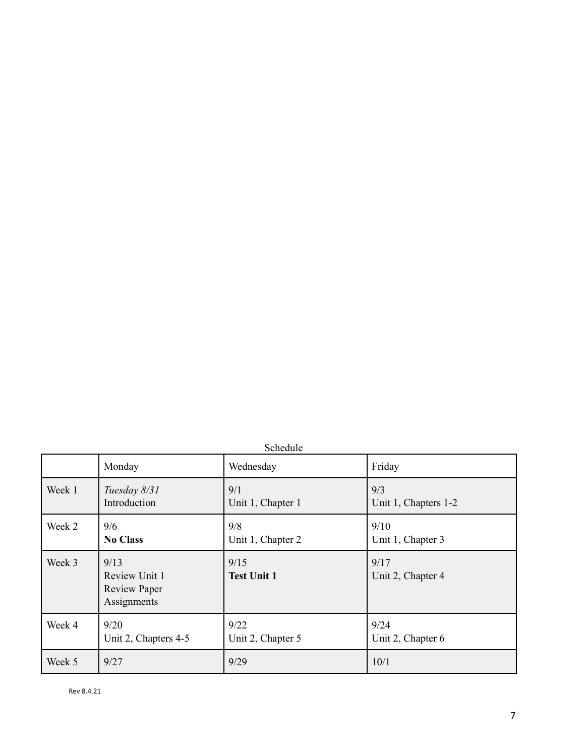| Schedule |
|----------|
|----------|

|        | Monday                                                      | Wednesday                  | Friday                    |
|--------|-------------------------------------------------------------|----------------------------|---------------------------|
| Week 1 | Tuesday 8/31                                                | 9/1                        | 9/3                       |
|        | Introduction                                                | Unit 1, Chapter 1          | Unit 1, Chapters 1-2      |
| Week 2 | 9/6                                                         | 9/8                        | 9/10                      |
|        | <b>No Class</b>                                             | Unit 1, Chapter 2          | Unit 1, Chapter 3         |
| Week 3 | 9/13<br>Review Unit 1<br><b>Review Paper</b><br>Assignments | 9/15<br><b>Test Unit 1</b> | 9/17<br>Unit 2, Chapter 4 |
| Week 4 | 9/20                                                        | 9/22                       | 9/24                      |
|        | Unit 2, Chapters 4-5                                        | Unit 2, Chapter 5          | Unit 2, Chapter 6         |
| Week 5 | 9/27                                                        | 9/29                       | 10/1                      |